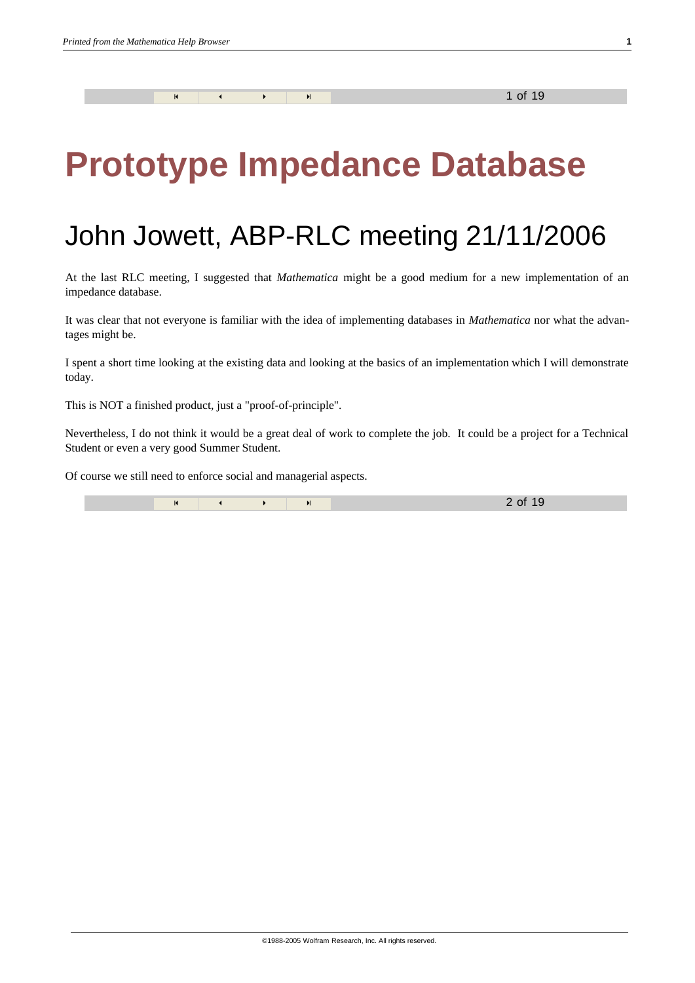# **Prototype Impedance Database**

# John Jowett, ABP-RLC meeting 21/11/2006

At the last RLC meeting, I suggested that *Mathematica* might be a good medium for a new implementation of an impedance database.

It was clear that not everyone is familiar with the idea of implementing databases in *Mathematica* nor what the advantages might be.

I spent a short time looking at the existing data and looking at the basics of an implementation which I will demonstrate today.

This is NOT a finished product, just a "proof-of-principle".

Nevertheless, I do not think it would be a great deal of work to complete the job. It could be a project for a Technical Student or even a very good Summer Student.

Of course we still need to enforce social and managerial aspects.

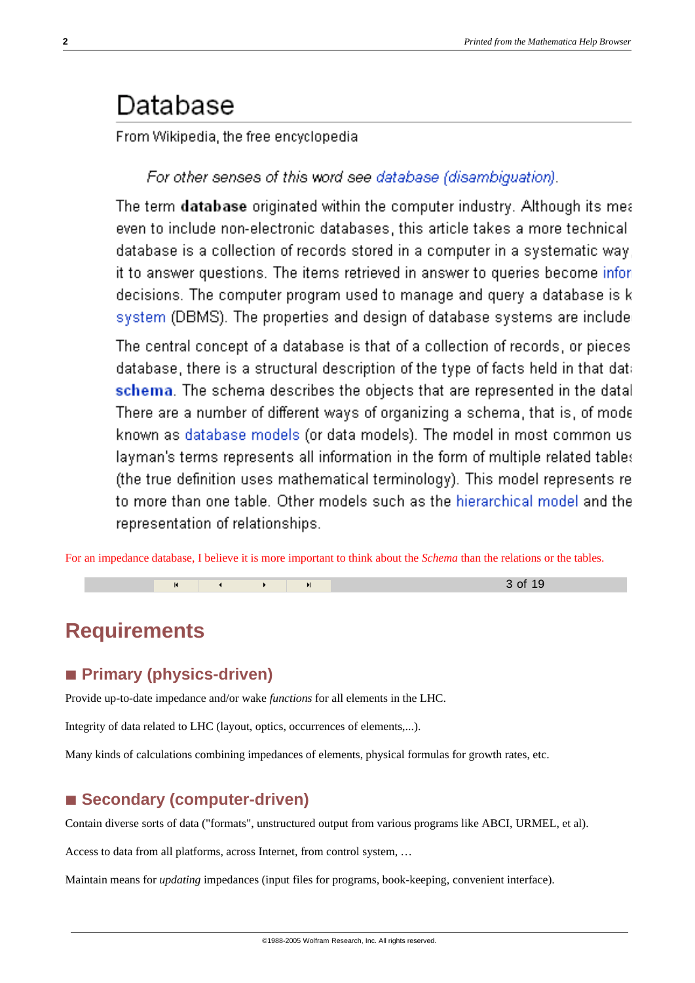## Database

From Wikipedia, the free encyclopedia

For other senses of this word see database (disambiquation).

The term database originated within the computer industry. Although its mea even to include non-electronic databases, this article takes a more technical database is a collection of records stored in a computer in a systematic way it to answer questions. The items retrieved in answer to queries become infor decisions. The computer program used to manage and query a database is k system (DBMS). The properties and design of database systems are include

The central concept of a database is that of a collection of records, or pieces database, there is a structural description of the type of facts held in that dat: schema. The schema describes the objects that are represented in the datal There are a number of different ways of organizing a schema, that is, of mode known as database models (or data models). The model in most common us layman's terms represents all information in the form of multiple related tables (the true definition uses mathematical terminology). This model represents re to more than one table. Other models such as the hierarchical model and the representation of relationships.

For an impedance database, I believe it is more important to think about the *Schema* than the relations or the tables.

« ≈ 3 of 19

**Requirements**

#### **à Primary (physics-driven)**

Provide up-to-date impedance and/or wake *functions* for all elements in the LHC.

Integrity of data related to LHC (layout, optics, occurrences of elements,...).

Many kinds of calculations combining impedances of elements, physical formulas for growth rates, etc.

#### ■ **Secondary (computer-driven)**

Contain diverse sorts of data ("formats", unstructured output from various programs like ABCI, URMEL, et al).

Access to data from all platforms, across Internet, from control system, …

Maintain means for *updating* impedances (input files for programs, book-keeping, convenient interface).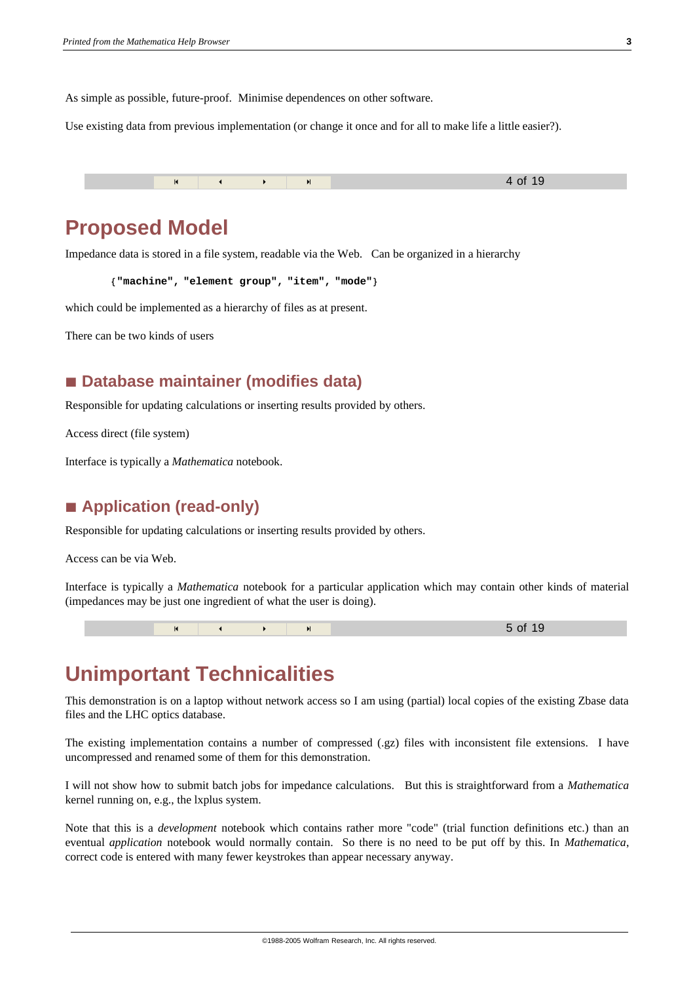As simple as possible, future-proof. Minimise dependences on other software.

Use existing data from previous implementation (or change it once and for all to make life a little easier?).

« ≈ 4 of 19

#### **Proposed Model**

Impedance data is stored in a file system, readable via the Web. Can be organized in a hierarchy

**8"machine", "element group", "item", "mode"<**

which could be implemented as a hierarchy of files as at present.

There can be two kinds of users

#### **à Database maintainer (modifies data)**

Responsible for updating calculations or inserting results provided by others.

Access direct (file system)

Interface is typically a *Mathematica* notebook.

#### **à Application (read-only)**

Responsible for updating calculations or inserting results provided by others.

Access can be via Web.

Interface is typically a *Mathematica* notebook for a particular application which may contain other kinds of material (impedances may be just one ingredient of what the user is doing).



### **Unimportant Technicalities**

This demonstration is on a laptop without network access so I am using (partial) local copies of the existing Zbase data files and the LHC optics database.

The existing implementation contains a number of compressed (.gz) files with inconsistent file extensions. I have uncompressed and renamed some of them for this demonstration.

I will not show how to submit batch jobs for impedance calculations. But this is straightforward from a *Mathematica* kernel running on, e.g., the lxplus system.

Note that this is a *development* notebook which contains rather more "code" (trial function definitions etc.) than an eventual *application* notebook would normally contain. So there is no need to be put off by this. In *Mathematica*, correct code is entered with many fewer keystrokes than appear necessary anyway.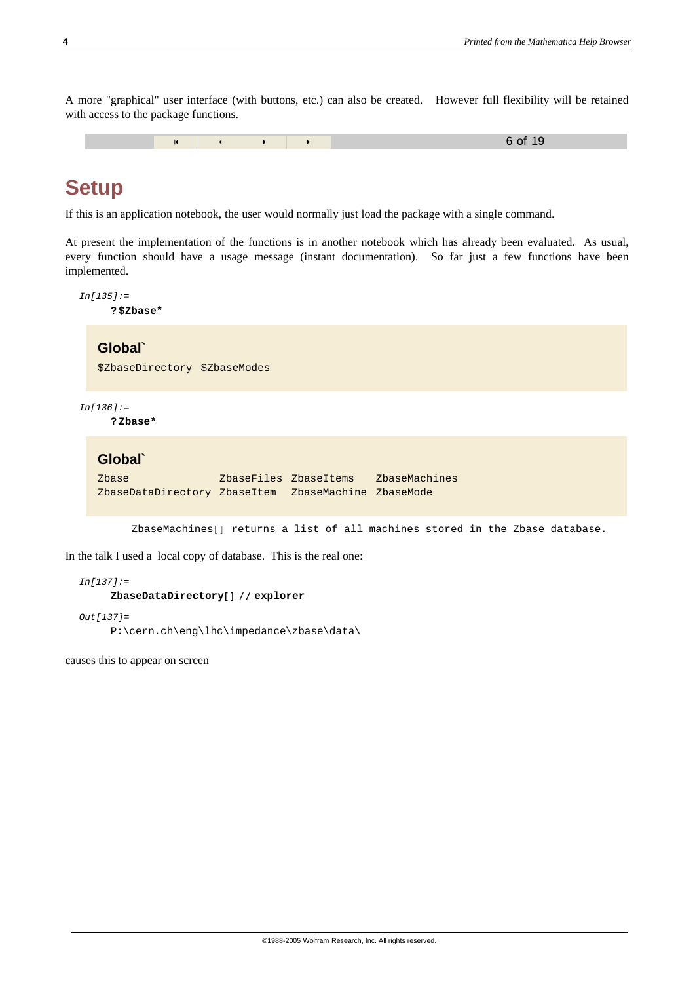A more "graphical" user interface (with buttons, etc.) can also be created. However full flexibility will be retained with access to the package functions.

« ≈ 6 of 19

#### **Setup**

If this is an application notebook, the user would normally just load the package with a single command.

At present the implementation of the functions is in another notebook which has already been evaluated. As usual, every function should have a usage message (instant documentation). So far just a few functions have been implemented.

```
In[135]:=
     ? $Zbase*
   Global`
   $ZbaseDirectory $ZbaseModes
In[136]:=
     ? Zbase*
   Global`
```

```
Zbase ZbaseFiles ZbaseItems ZbaseMachines
ZbaseDataDirectory ZbaseItem ZbaseMachine ZbaseMode
```
ZbaseMachines[] returns a list of all machines stored in the Zbase database.

In the talk I used a local copy of database. This is the real one:

```
In[137]:=
      ZbaseDataDirectory<sup>[]</sup> // explorer
Out[137]=
```

```
P:\cern.ch\eng\lhc\impedance\zbase\data\
```
causes this to appear on screen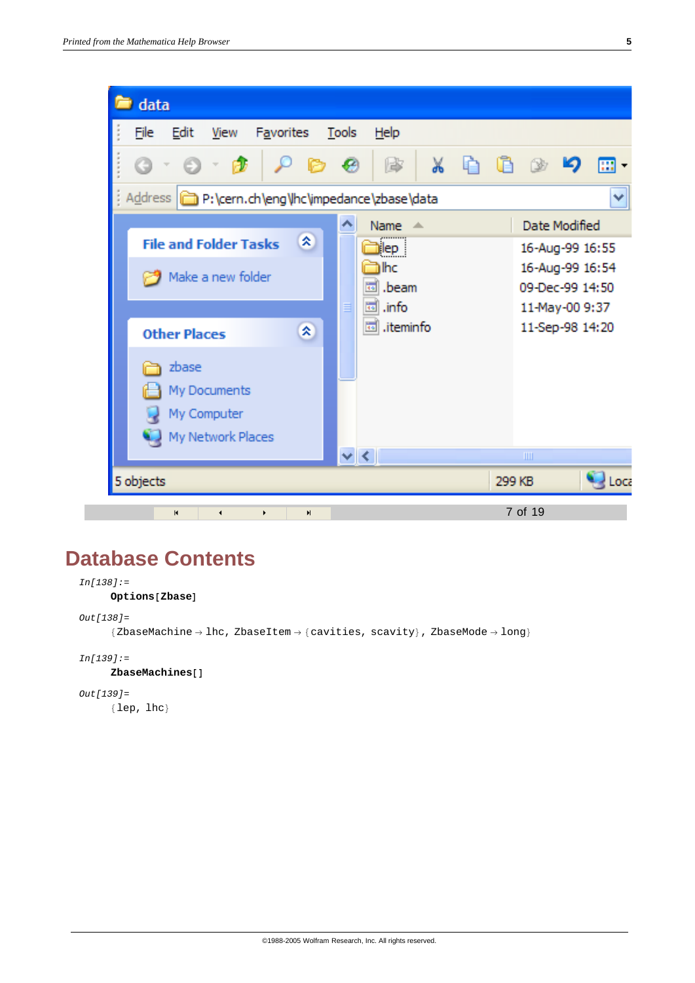| data                                                           |                              |
|----------------------------------------------------------------|------------------------------|
| File<br>Edit<br>Tools<br>View<br>Favorites<br>Help             |                              |
| 廖<br>$\mathbb{X}$<br>G                                         | 內<br>m.                      |
| Address <b>P:\cern.ch\eng\hc\impedance\zbase\data</b>          | ×                            |
| ᄾ<br>Name $\triangle$                                          | Date Modified                |
| ×<br><b>File and Folder Tasks</b><br><mark>j</mark> lep        | 16-Aug-99 16:55              |
| ìlhc<br>Make a new folder                                      | 16-Aug-99 16:54              |
| তা .beam                                                       | 09-Dec-99 14:50              |
| <u>ा</u> info<br>≣                                             | 11-May-00 9:37               |
| <b>lad</b> .iteminfo<br>交<br><b>Other Places</b>               | 11-Sep-98 14:20              |
| zbase                                                          |                              |
| My Documents                                                   |                              |
| My Computer                                                    |                              |
|                                                                |                              |
| My Network Places<br>$\vee$ < $\vee$                           | ШI                           |
|                                                                |                              |
| 5 objects                                                      | $\frac{1}{2}$ Loca<br>299 KB |
| $\blacksquare$<br>$\blacksquare$<br>◀<br>$\blacktriangleright$ | 7 of 19                      |

### **Database Contents**

```
In[138]:=
       Options<sup>[Zbase]</sup>
Out[138]=
       {ZbaseMachine \rightarrow Inc}, ZbaseItem \rightarrow [cavities, scavity}, ZbaseMode \rightarrow long}
In[139]:=
       ZbaseMachines<sup>[]</sup>
Out[139]=
```
8lep, lhc<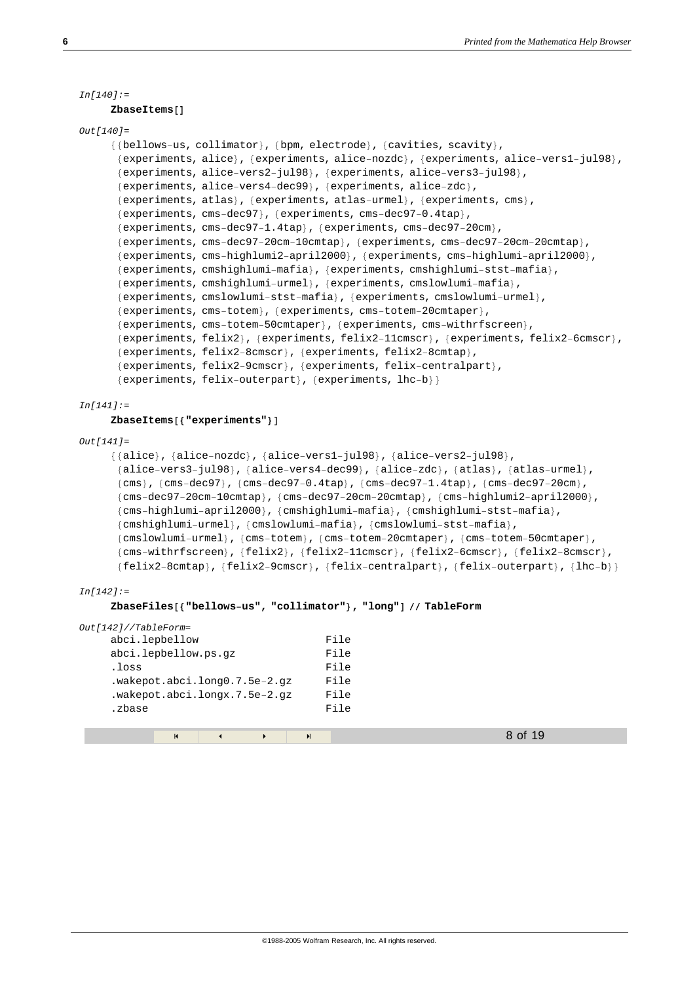```
In[140]:=
```
#### $ZbaseItems$  []

```
Out[140]=
```

```
{{bellows-us, collimator}, {bpm, electrode}, {cavities, scavity},
 {8experiments, alice}, {experiments, alice-nozdc}, {experiments, alice-vers1-jul98},
 8experiments, alice−vers2−jul98<, 8experiments, alice−vers3−jul98<,
 {experiments, alice-vers4-dec99}, {experiments, alice-zdc},
 {experiments, atlas}, {experiments, atlas−urmel}, {experiments, cms},
 {experiments, cms-dec97}, {experiments, cms-dec97-0.4tap},
 {experiments, cms-dec97−1.4tap}, {experiments, cms-dec97-20cm},
 8experiments, cms−dec97−20cm−10cmtap<, 8experiments, cms−dec97−20cm−20cmtap<,
 8experiments, cms−highlumi2−april2000<, 8experiments, cms−highlumi−april2000<,
 {experiments, cmshighlumi-mafia}, {experiments, cmshighlumi-stst-mafia},
 {experiments, cmshighlumi-urmel}, {experiments, cmslowlumi-mafia},
 {experiments, cmslowlumi-stst-mafia}, {experiments, cmslowlumi-urmel},
 {experiments, cms-totem}, {experiments, cms-totem-20cmtaper},
 {experiments, cms-totem-50cmtaper}, {experiments, cms-withrfscreen},
 {experiments, felix2}, {experiments, felix2-11cmscr}, {experiments, felix2-6cmscr},
 {experiments, felix2-8cmscr}, {experiments, felix2-8cmtap},
 {experiments, felix2−9cmscr}, {experiments, felix-centralpart},
 {experiments, felix-outerpart}, {experiments, lhc-b}}
```

```
In[141]:=
```
#### $ZbaseItems$  [ { "experiments" } ]

```
Out[141]=
```

```
88alice<, 8alice−nozdc<, 8alice−vers1−jul98<, 8alice−vers2−jul98<,
{alice-vers3-jul98}, {alice-vers4-dec99}, {alice-zdc}, {atlas}, {atlas-urmel},
 {cms}, {cms−dec97}, {cms−dec97−0.4tap}, {cms−dec97−1.4tap}, {cms−dec97-20cm},
 8cms−dec97−20cm−10cmtap<, 8cms−dec97−20cm−20cmtap<, 8cms−highlumi2−april2000<,
 8cms−highlumi−april2000<, 8cmshighlumi−mafia<, 8cmshighlumi−stst−mafia<,
 {cmshighlumi-urmel}, {cmslowlumi-mafia}, {cmslowlumi-stst-mafia},
 {cmslowlumi-urmel}, {cms-totem}, {cms-totem-20cmtaper}, {cms-totem-50cmtaper},
 {cms-withrfscreen}, {felix2}, {felix2-11cmscr}, {felix2-6cmscr}, {felix2-8cmscr},
 {felix2-8cmtap}, {felix2-9cmscr}, {felix-centralpart}, {felix-outerpart}, {lhc-b}}
```

```
In[142]:=
```
#### **ZbaseFiles@8"bellows−us", "collimator"<, "long"D êê TableForm**

| Out[142]//TableForm= |                               |               |                       |   |      |  |         |  |
|----------------------|-------------------------------|---------------|-----------------------|---|------|--|---------|--|
|                      | abci.lepbellow                |               |                       |   | File |  |         |  |
|                      | abci.lepbellow.ps.qz          |               |                       |   | File |  |         |  |
| .loss                |                               |               |                       |   | File |  |         |  |
|                      | .wakepot.abci.long0.7.5e-2.gz |               |                       |   | File |  |         |  |
|                      | .wakepot.abci.longx.7.5e-2.gz |               |                       |   | File |  |         |  |
| .zbase               |                               |               |                       |   | File |  |         |  |
|                      |                               |               |                       |   |      |  |         |  |
|                      | $\blacksquare$                | $\rightarrow$ | $\blacktriangleright$ | H |      |  | 8 of 19 |  |
|                      |                               |               |                       |   |      |  |         |  |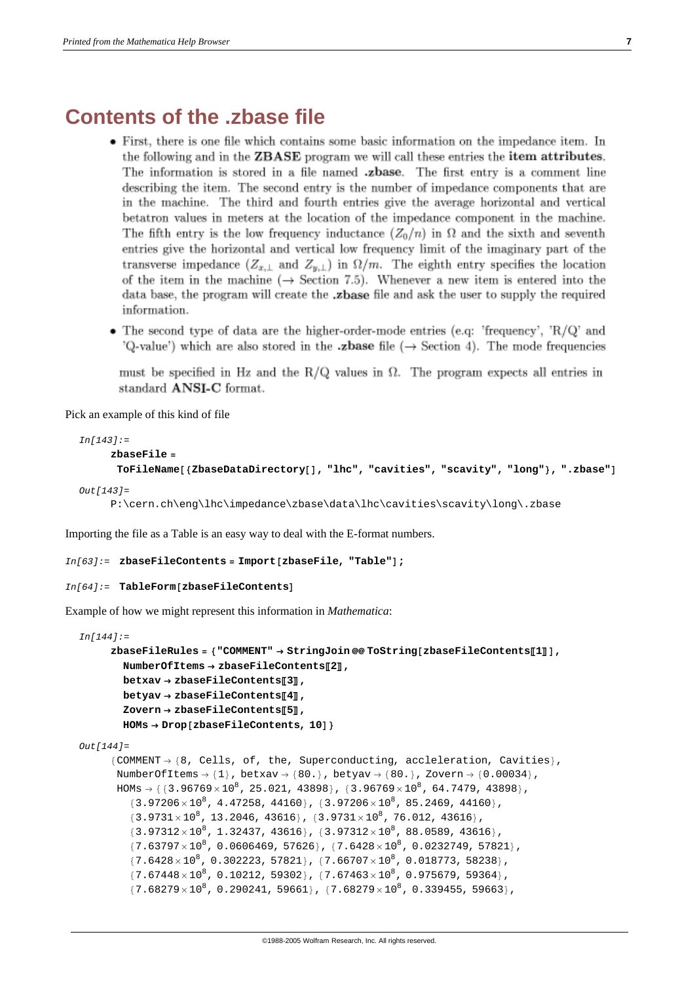#### **Contents of the .zbase file**

- First, there is one file which contains some basic information on the impedance item. In the following and in the **ZBASE** program we will call these entries the **item attributes**. The information is stored in a file named .zbase. The first entry is a comment line describing the item. The second entry is the number of impedance components that are in the machine. The third and fourth entries give the average horizontal and vertical betatron values in meters at the location of the impedance component in the machine. The fifth entry is the low frequency inductance  $(Z_0/n)$  in  $\Omega$  and the sixth and seventh entries give the horizontal and vertical low frequency limit of the imaginary part of the transverse impedance  $(Z_{x,\perp}$  and  $Z_{y,\perp}$  in  $\Omega/m$ . The eighth entry specifies the location of the item in the machine ( $\rightarrow$  Section 7.5). Whenever a new item is entered into the data base, the program will create the **zbase** file and ask the user to supply the required information.
- The second type of data are the higher-order-mode entries (e.q: 'frequency', 'R/Q' and 'Q-value') which are also stored in the **zbase** file  $(\rightarrow$  Section 4). The mode frequencies

must be specified in Hz and the R/Q values in  $\Omega$ . The program expects all entries in standard ANSI-C format.

Pick an example of this kind of file

```
In[143]:=
      zbaseFile =
       ToFileName<sup>[</sup>{ZbaseDataDirectory<sup>[</sup>], "lhc", "cavities", "scavity", "long"}, ".zbase"]
Out[143]=
```

```
P:\cern.ch\eng\lhc\impedance\zbase\data\lhc\cavities\scavity\long\.zbase
```
Importing the file as a Table is an easy way to deal with the E-format numbers.

```
In [63]: = zbaseFileContents = Import[zbaseFile, "Table"];
```

```
In[64]:= TableForm@zbaseFileContentsD
```
Example of how we might represent this information in *Mathematica*:

```
In[144]:=
      zbaseFileRules = 8"COMMENT" → StringJoin @@ ToString@zbaseFileContentsP1TD,
        NumberOfItems → zbaseFileContentsP2T,
        betxav → zbaseFileContentsP3T,
        betyav → zbaseFileContentsP4T,
        Zovern → zbaseFileContentsP5T,
        HOMs → Drop[zbaseFileContents, 10]Out[144]=
      {COMMENT} \rightarrow {8, Cells, of, the, Superconducting, acceleration, Cavities}.NumberOfItems \rightarrow {1}, betxav \rightarrow {80.}, betyav \rightarrow {80.}, Zovern \rightarrow {0.00034},
       HOMs \rightarrow \{ \{3.96769 \times 10^8, 25.021, 43898\}, \{3.96769 \times 10^8, 64.7479, 43898\},\\{3.97206 \times 10^8, 4.47258, 44160\}, \{3.97206 \times 10^8, 85.2469, 44160\},\{3.9731 \times 10^8, 13.2046, 43616\}, \{3.9731 \times 10^8, 76.012, 43616\},\{3.97312 \times 10^8, 1.32437, 43616\}, \{3.97312 \times 10^8, 88.0589, 43616\},{7.63797 \times 10^8}, 0.0606469, 57626}, {7.6428 \times 10^8}, 0.0232749, 57821},
          {7.6428 \times 10^8}, 0.302223, 57821}, {7.66707 \times 10^8}, 0.018773, 58238}
          {7.67448 \times 10^8}, 0.10212, 59302}, {7.67463 \times 10^8}, 0.975679, 59364},
          {7.68279 \times 10^8}, 0.290241, 59661}, {7.68279 \times 10^8}, 0.339455, 59663}
```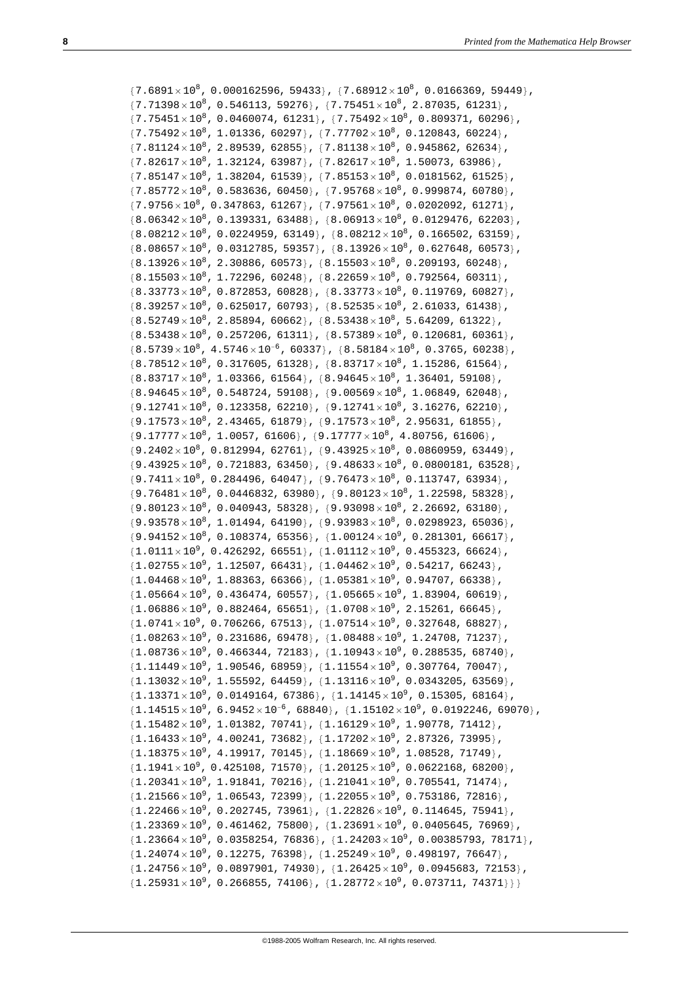${7.6891 \times 10^8}$ , 0.000162596, 59433},  ${7.68912 \times 10^8}$ , 0.0166369, 59449},  ${7.71398 \times 10^8}$ , 0.546113, 59276},  ${7.75451 \times 10^8}$ , 2.87035, 61231}  ${7.75451\times10^{8}}$ , 0.0460074, 61231},  ${7.75492\times10^{8}}$ , 0.809371, 60296},  ${7.75492 \times 10^8}$ , 1.01336, 60297},  ${7.77702 \times 10^8}$ , 0.120843, 60224},  ${7.81124 \times 10^8}$ , 2.89539, 62855},  ${7.81138 \times 10^8}$ , 0.945862, 62634},  ${7.82617\times10^8}$ , 1.32124, 63987},  ${7.82617\times10^8}$ , 1.50073, 63986}  ${7.85147\times10^8}$ , 1.38204, 61539},  ${7.85153\times10^8}$ , 0.0181562, 61525}  ${7.85772 \times 10^8}$ , 0.583636, 60450},  ${7.95768 \times 10^8}$ , 0.999874, 60780},  ${7.9756 \times 10^8}$ , 0.347863, 61267},  ${7.97561 \times 10^8}$ , 0.0202092, 61271},  ${8.06342\times10^8}$ , 0.139331, 63488},  ${8.06913\times10^8}$ , 0.0129476, 62203},  ${8.08212 \times 10^8}$ , 0.0224959, 63149},  ${8.08212 \times 10^8}$ , 0.166502, 63159},  ${8.08657\times10^8}$ , 0.0312785, 59357},  ${8.13926\times10^8}$ , 0.627648, 60573},  $\{8.13926 \times 10^8$ , 2.30886, 60573},  $\{8.15503 \times 10^8$ , 0.209193, 60248},  ${8.15503 \times 10^8, 1.72296, 60248}, {8.22659 \times 10^8, 0.792564, 60311},$  ${8.33773 \times 10^8}$ , 0.872853, 60828},  ${8.33773 \times 10^8}$ , 0.119769, 60827},  ${8.39257\times10^8}$ , 0.625017, 60793},  ${8.52535\times10^8}$ , 2.61033, 61438},  ${8.52749\times10^8}$ , 2.85894, 60662},  ${8.53438\times10^8}$ , 5.64209, 61322},  ${8.53438 \times 10^8}$ , 0.257206, 61311},  ${8.57389 \times 10^8}$ , 0.120681, 60361},  ${8.5739 \times 10^8}$ ,  $4.5746 \times 10^{-6}$ , 60337},  ${8.58184 \times 10^8}$ , 0.3765, 60238},  ${8.78512 \times 10^8}$ , 0.317605, 61328},  ${8.83717 \times 10^8}$ , 1.15286, 61564},  ${8.83717\times10^8}$ , 1.03366, 61564},  ${8.94645\times10^8}$ , 1.36401, 59108},  $\{8.94645 \times 10^8, 0.548724, 59108\}, \{9.00569 \times 10^8, 1.06849, 62048\},\$  ${9.12741 \times 10^8}$ , 0.123358, 62210},  ${9.12741 \times 10^8}$ , 3.16276, 62210},  ${9.17573 \times 10^8}$ , 2.43465, 61879},  ${9.17573 \times 10^8}$ , 2.95631, 61855},  ${9.17777 \times 10^8, 1.0057, 61606}$ ,  ${9.17777 \times 10^8, 4.80756, 61606}$  ${9.2402\times10^{8}}$ , 0.812994, 62761},  ${9.43925\times10^{8}}$ , 0.0860959, 63449},  ${9.43925 \times 10^8}$ , 0.721883, 63450},  ${9.48633 \times 10^8}$ , 0.0800181, 63528}  ${9.7411\times10^8}$ , 0.284496, 64047},  ${9.76473\times10^8}$ , 0.113747, 63934},  ${9.76481\times10^{8}$ , 0.0446832, 63980},  ${9.80123\times10^{8}}$ , 1.22598, 58328},  $\{9.80123 \times 10^8, 0.040943, 58328\}, \{9.93098 \times 10^8, 2.26692, 63180\}$  ${9.93578 \times 10^8}$ , 1.01494, 64190},  ${9.93983 \times 10^8}$ , 0.0298923, 65036},  ${9.94152 \times 10^8}$ , 0.108374, 65356},  ${1.00124 \times 10^9}$ , 0.281301, 66617}  ${1.0111 \times 10^9}$ , 0.426292, 66551},  ${1.01112 \times 10^9}$ , 0.455323, 66624},  ${1.02755 \times 10^9}$ , 1.12507, 66431},  ${1.04462 \times 10^9}$ , 0.54217, 66243},  ${1.04468 \times 10^9}$ , 1.88363, 66366},  ${1.05381 \times 10^9}$ , 0.94707, 66338}  ${1.05664 \times 10^9}$ , 0.436474, 60557},  ${1.05665 \times 10^9}$ , 1.83904, 60619}  ${1.06886 \times 10^9}$ , 0.882464, 65651},  ${1.0708 \times 10^9}$ , 2.15261, 66645}  ${1.0741 \times 10^9}$ , 0.706266, 67513},  ${1.07514 \times 10^9}$ , 0.327648, 68827},  ${1.08263 \times 10^9}$ , 0.231686, 69478},  ${1.08488 \times 10^9}$ , 1.24708, 71237},  ${1.08736 \times 10^9}$ , 0.466344, 72183},  ${1.10943 \times 10^9}$ , 0.288535, 68740},  ${1.11449 \times 10^9, 1.90546, 68959}$ ,  ${1.11554 \times 10^9, 0.307764, 70047}$  ${1.13032 \times 10^9}$ , 1.55592, 64459},  ${1.13116 \times 10^9}$ , 0.0343205, 63569},  ${1.13371\times10^9}$ , 0.0149164, 67386},  ${1.14145\times10^9}$ , 0.15305, 68164},  ${1.14515 \times 10^9}$ , 6.9452 $\times 10^{-6}$ , 68840},  ${1.15102 \times 10^9}$ , 0.0192246, 69070}  ${1.15482 \times 10^9}$ , 1.01382, 70741},  ${1.16129 \times 10^9}$ , 1.90778, 71412}  ${1.16433 \times 10^9}$ , 4.00241, 73682},  ${1.17202 \times 10^9}$ , 2.87326, 73995}  ${1.18375 \times 10^9}$ , 4.19917, 70145},  ${1.18669 \times 10^9}$ , 1.08528, 71749}  ${1.1941 \times 10^9}$ , 0.425108, 71570},  ${1.20125 \times 10^9}$ , 0.0622168, 68200},  ${1.20341 \times 10^9}$ , 1.91841, 70216},  ${1.21041 \times 10^9}$ , 0.705541, 71474},  ${1.21566 \times 10^9}$ , 1.06543, 72399},  ${1.22055 \times 10^9}$ , 0.753186, 72816}  ${1.22466 \times 10^9}$ , 0.202745, 73961},  ${1.22826 \times 10^9}$ , 0.114645, 75941},  ${1.23369 \times 10^9}$ , 0.461462, 75800},  ${1.23691 \times 10^9}$ , 0.0405645, 76969}  ${1.23664 \times 10^9}$ , 0.0358254, 76836},  ${1.24203 \times 10^9}$ , 0.00385793, 78171},  ${1.24074\times10^9}$ , 0.12275, 76398},  ${1.25249\times10^9}$ , 0.498197, 76647},  ${1.24756 \times 10^9}$ , 0.0897901, 74930},  ${1.26425 \times 10^9}$ , 0.0945683, 72153}  ${1.25931 \times 10^9}$ , 0.266855, 74106},  ${1.28772 \times 10^9}$ , 0.073711, 74371}}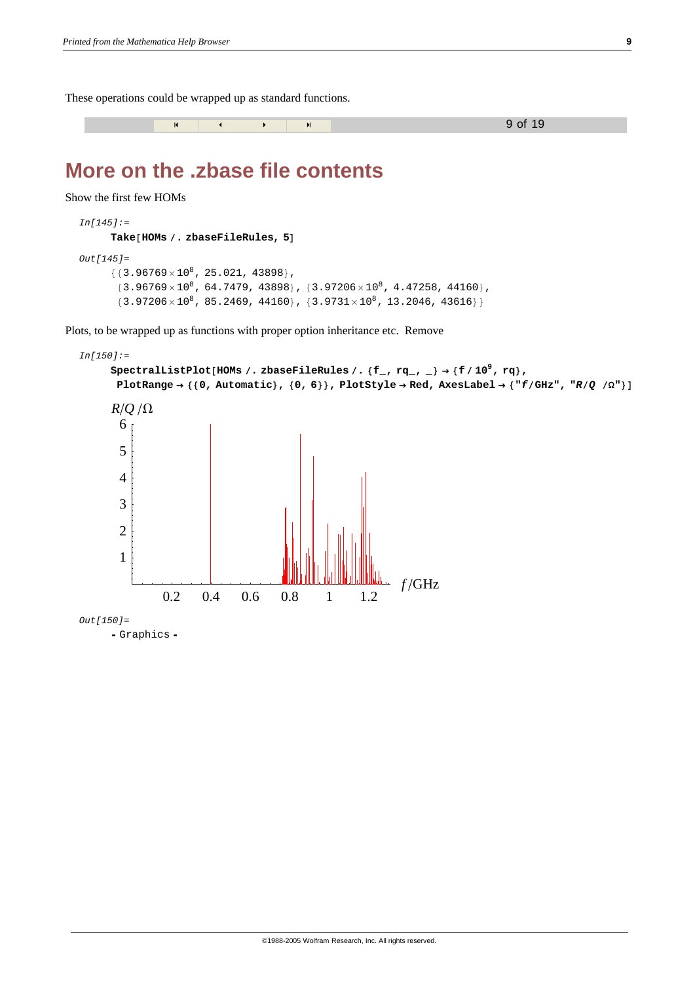These operations could be wrapped up as standard functions.

« ≈ 9 of 19

### **More on the .zbase file contents**

Show the first few HOMs

```
In[145]:=
      Take [HOMs / . zbaseFileRules, 5]Out[145]=
      {3.96769 \times 10^8}, 25.021, 43898},
       {3.96769 \times 10^8}, 64.7479, 43898}, {3.97206 \times 10^8}, 4.47258, 44160},
       {3.97206 \times 10^8}, 85.2469, 44160}, {3.9731 \times 10^8}, 13.2046, 43616}
```
Plots, to be wrapped up as functions with proper option inheritance etc. Remove

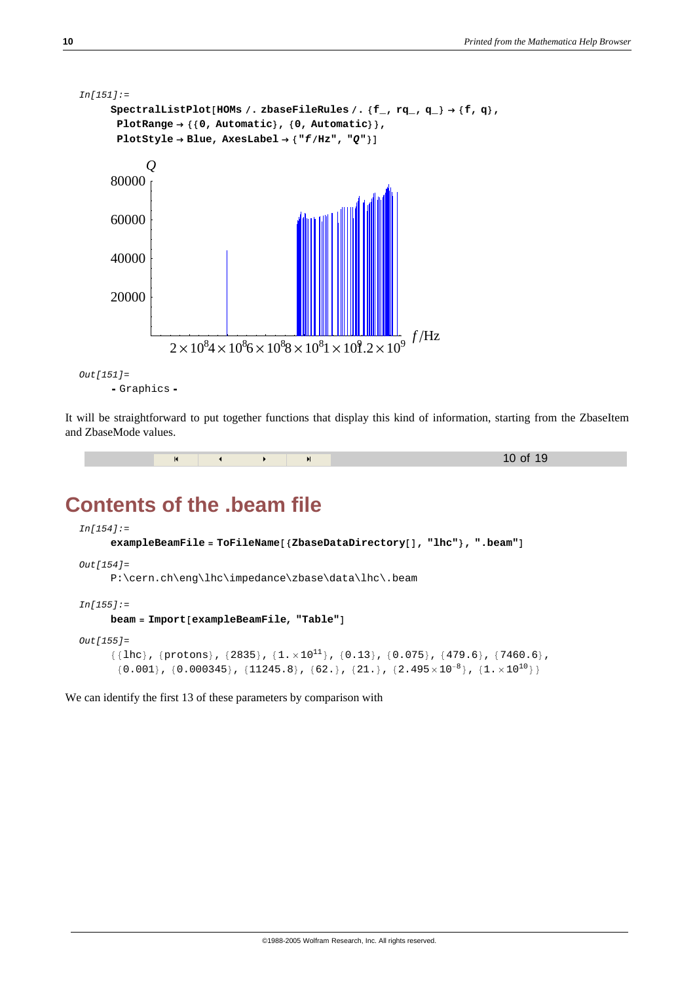

```
- Graphics -
```
It will be straightforward to put together functions that display this kind of information, starting from the ZbaseItem and ZbaseMode values.

```
м « » и и село на также 10 оf 19
```
### **Contents of the .beam file**

```
In[154]:=
      exampleBeamFile = \text{ToFileName} [{ZbaseDataDirectory[], "lhc"}, ".beam"]
Out[154]=
      P:\cern.ch\eng\lhc\impedance\zbase\data\lhc\.beam
In[155]:=
      beam = Import[exampleBeanFile, "Table"]Out[155]=
      \{\{\text{lhc}\}, \{\text{protons}\}, \{2835\}, \{1. \times 10^{11}\}, \{0.13\}, \{0.075\}, \{479.6\}, \{7460.6\},\\{0.001\}\,,\;\{0.000345\}\,,\;\{11245.8\}\,,\;\{62.\}\,,\;\{21.\}\,,\;\{2.495\times10^{-8}\}\,,\;\{1.\times10^{10}\}\}
```
We can identify the first 13 of these parameters by comparison with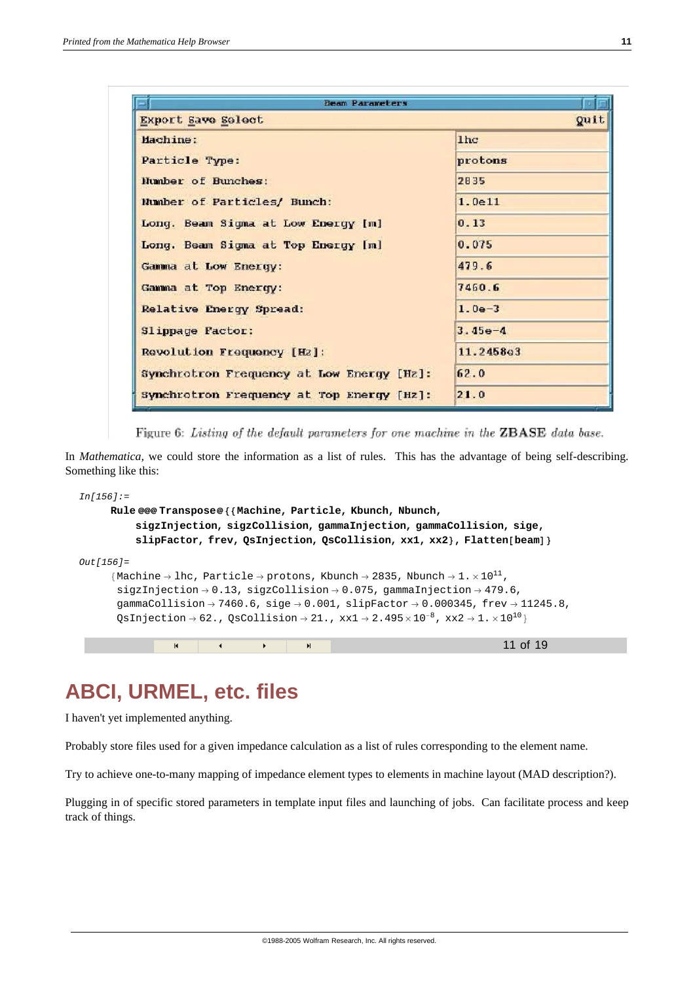| <b>Beam Parameters</b>                    |                 |
|-------------------------------------------|-----------------|
| Export Save Select                        | <b>Quit</b>     |
| Machine:                                  | 1 <sub>hc</sub> |
| Particle Type:                            | protons         |
| Number of Bunches:                        | 2835            |
| Number of Particles/ Bunch:               | 1.0e11          |
| Long. Beam Sigma at Low Energy [m]        | 0.13            |
| Long. Beam Sigma at Top Energy [m]        | 0.075           |
| Gamma at Low Energy:                      | 479.6           |
| Gamma at Top Energy:                      | 7460.6          |
| Relative Energy Spread:                   | $1.0e-3$        |
| Slippage Factor:                          | $3.45e-4$       |
| Revolution Frequency [Hz]:                | 11.2458e3       |
| Synchrotron Frequency at Low Energy [Hz]: | 62.0            |
| Synchrotron Frequency at Top Energy [Hz]: | 21.0            |

Figure 6: Listing of the default parameters for one machine in the ZBASE data base.

In *Mathematica,* we could store the information as a list of rules. This has the advantage of being self-describing. Something like this:

```
In[156]:=
      Rule @@@ Transpose@88Machine, Particle, Kbunch, Nbunch,
            sigzInjection, sigzCollision, gammaInjection, gammaCollision, sige,
            slipFactor, frev, QsInjection, QsCollision, xx1, xx2}, Flatten[beam]Out[156]=
       {Machine \rightarrow lhc, Particle \rightarrow protons, Kbunch \rightarrow 2835, Nbunch \rightarrow 1. \times 10<sup>11</sup>,
        sigzInjection \rightarrow 0.13, sigzCollision \rightarrow 0.075, gammaInjection \rightarrow 479.6,
        gammaCollision \rightarrow 7460.6, sige \rightarrow 0.001, slipFactor \rightarrow 0.000345, frev \rightarrow 11245.8,
        QsInjection \rightarrow 62., QsCollision \rightarrow 21., xx1 \rightarrow 2.495 \times 10^{-8}, xx2 \rightarrow 1. \times 10^{10}м « » и и село на так на том 11 оf 19
```
### **ABCI, URMEL, etc. files**

I haven't yet implemented anything.

Probably store files used for a given impedance calculation as a list of rules corresponding to the element name.

Try to achieve one-to-many mapping of impedance element types to elements in machine layout (MAD description?).

Plugging in of specific stored parameters in template input files and launching of jobs. Can facilitate process and keep track of things.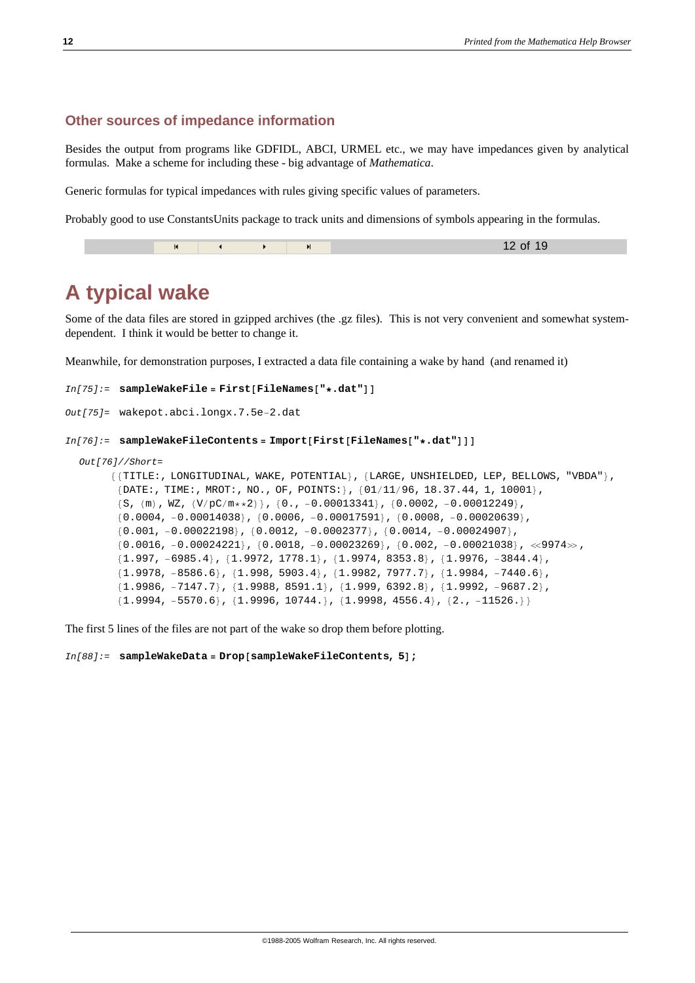#### **Other sources of impedance information**

Besides the output from programs like GDFIDL, ABCI, URMEL etc., we may have impedances given by analytical formulas. Make a scheme for including these - big advantage of *Mathematica*.

Generic formulas for typical impedances with rules giving specific values of parameters.

Probably good to use ConstantsUnits package to track units and dimensions of symbols appearing in the formulas.

|  | $\overline{14}$ |  |  |  | 12 of 19 |
|--|-----------------|--|--|--|----------|
|--|-----------------|--|--|--|----------|

#### **A typical wake**

Some of the data files are stored in gzipped archives (the .gz files). This is not very convenient and somewhat systemdependent. I think it would be better to change it.

Meanwhile, for demonstration purposes, I extracted a data file containing a wake by hand (and renamed it)

```
In[75]:= sampleWakeFile = First@FileNames@"∗.dat"DD
```

```
Out[75]= wakepot.abci.longx.7.5e−2.dat
```

```
In[76]: = SampleWakeFileContents = Import[First[FileNames["*,dat"]]]
```

```
Out[76]//Short=
```

```
{{TITLE:, LONGITUDINAL, WAKE, POTENTIAL}, {LARGE, UNSHIELDED, LEP, BELLOWS, "VBDA"},
 {DATE:}, TIME:, MROT:, NO., OF, POINTS:}, {01/11/96}, 18.37.44, 1, 10001},
\{S, (m), WZ, (V/pC/m**2)\}, \{0., -0.00013341\}, \{0.0002, -0.00012249\},{0.0004, -0.00014038}, {0.0006, -0.00017591}, {0.0008, -0.00020639}{0.001, -0.00022198}, {0.0012, -0.0002377}, {0.0014, -0.00024907},
 {0.0016, -0.00024221}, {0.0018, -0.00023269}, {0.002, -0.00021038}, \ll9974\gg,{1.997, -6985.4}, {1.9972, 1778.1}, {1.9974, 8353.8}, {1.9976, -3844.4},{1.9978, -8586.6}, {1.998, 5903.4}, {1.9982, 7977.7}, {1.9984, -7440.6},{1.9986, -7147.7}, {1.9988, 8591.1}, {1.999, 6392.8}, {1.9992, -9687.2},{1.9994, -5570.6}, {1.9996, 10744.}, {1.9998, 4556.4}, {2., -11526.}}
```
The first 5 lines of the files are not part of the wake so drop them before plotting.

 $In[88]:$  = sampleWakeData = Drop[sampleWakeFileContents, 5];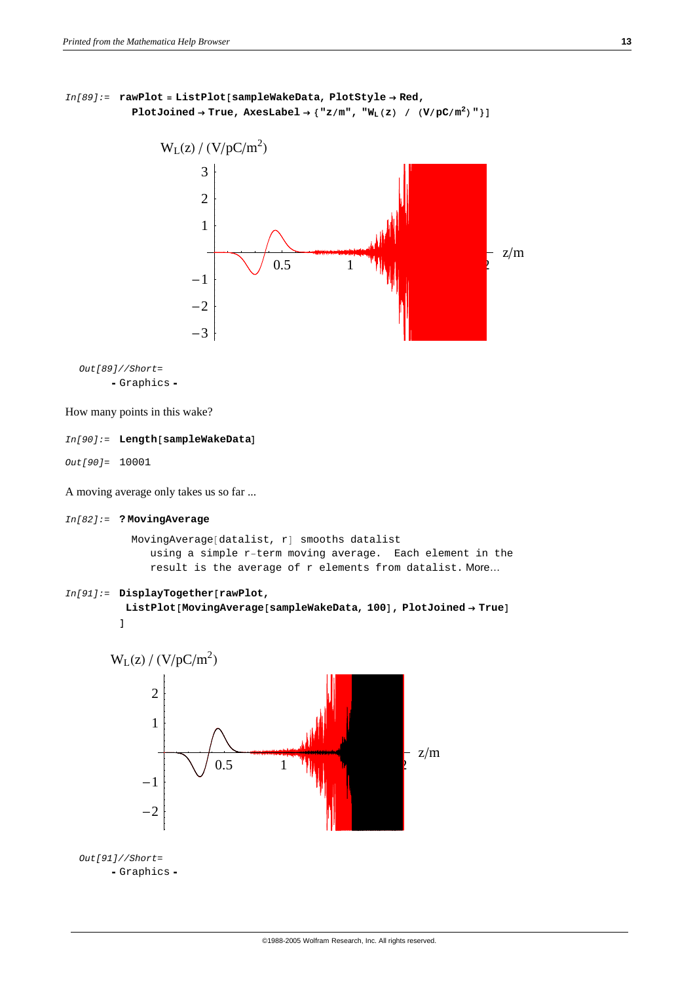```
In[89]:= rawPlot = ListPlot@sampleWakeData, PlotStyle → Red,
           PlotJoined → True, AxesLabel → \{ "z/m", "W_L(z) / (V/pc/m^2) " } \}
```


*Out[89]//Short=* h Graphics h

How many points in this wake?

#### $In[90]:$  = Length [sampleWakeData]

*Out[90]=* 10001

A moving average only takes us so far ...

```
In[82]:= ? MovingAverage
```

```
MovingAverage[datalist, r] smooths datalist
  using a simple r−term moving average. Each element in the
  result is the average of r elements from datalist. More…
```

```
In[91]: DisplayTogether[\text{rawPlot}]
```

```
ListPlot[MovingAverage[sampleWakeData, 100], PlotJoined → True]D
```
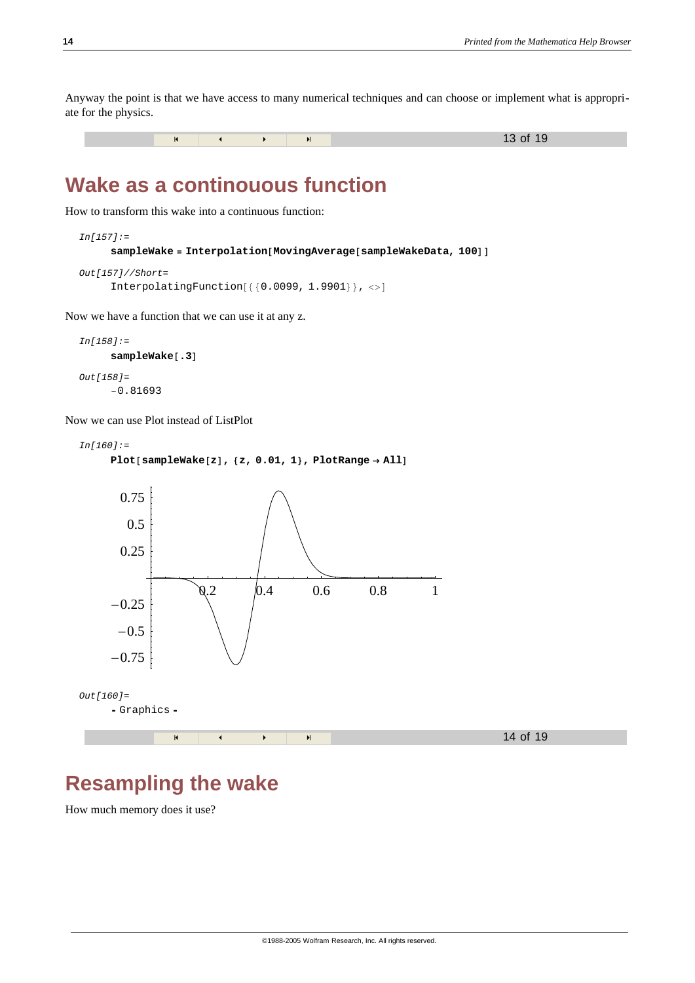Anyway the point is that we have access to many numerical techniques and can choose or implement what is appropriate for the physics.



#### **Wake as a continouous function**

How to transform this wake into a continuous function:

```
In[157]:=
       \texttt{sampleMake} = \texttt{Interpolation}[\texttt{MovingAverage}[\texttt{sampleMakeData}, 100]]Out[157]//Short=
```

```
InterpolatingFunction[\{\{0.0099, 1.9901\}\}, <)
```
Now we have a function that we can use it at any z.

```
In[158]:=
     sampleWake[.3]
Out[158]=
```
−0.81693

Now we can use Plot instead of ListPlot

```
In[160]:=
     Plot@sampleWake@zD, 8z, 0.01, 1<, PlotRange → AllD
```


### **Resampling the wake**

How much memory does it use?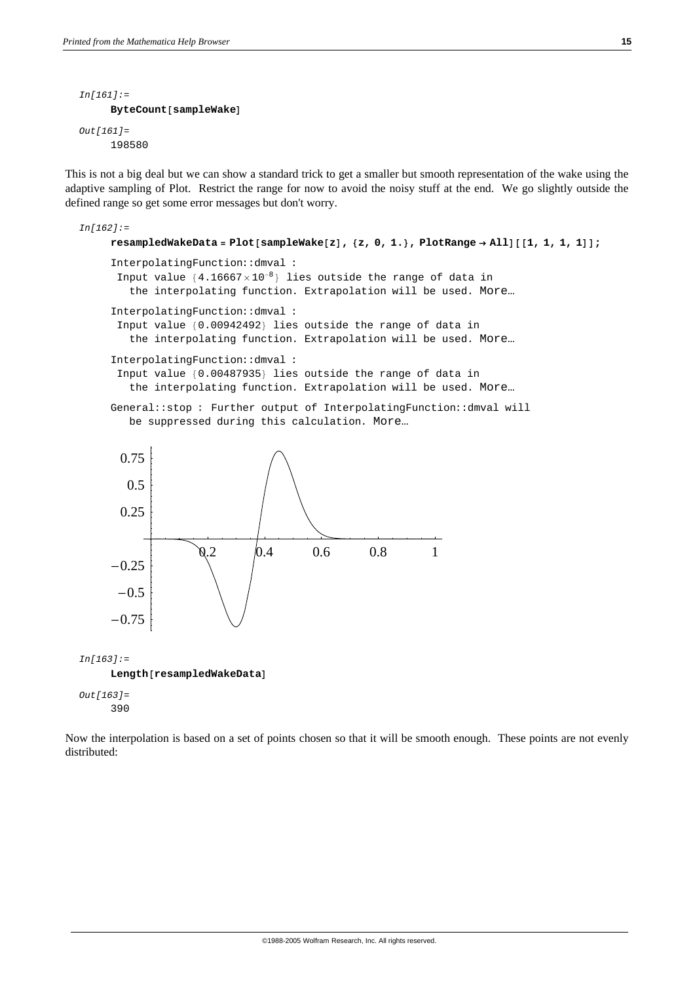```
In[161]:=
     ByteCount[sampleMake]Out[161]=
     198580
```
This is not a big deal but we can show a standard trick to get a smaller but smooth representation of the wake using the adaptive sampling of Plot. Restrict the range for now to avoid the noisy stuff at the end. We go slightly outside the defined range so get some error messages but don't worry.

```
In[162]:=
     resampledWakeData = Plot[sampleWake[z], {z, 0, 1.}, PlotRange → All][[1, 1, 1, 1]];
     InterpolatingFunction::dmval :
      Input value {4.16667 \times 10^{-8}}} lies outside the range of data in
        the interpolating function. Extrapolation will be used. More…
     InterpolatingFunction::dmval :
      Input value {0.00942492} lies outside the range of data in
        the interpolating function. Extrapolation will be used. More…
     InterpolatingFunction::dmval :
      Input value {0.00487935} lies outside the range of data in
        the interpolating function. Extrapolation will be used. More…
     General::stop : Further output of InterpolatingFunction::dmval will
       be suppressed during this calculation. More…
                   0.2 0.4 0.6 0.8 1
     -0.75-0.5-0.250.25
       0.5
      0.75
In[163]:=
    Length[resampledMakeData]Out[163]=
     390
```
Now the interpolation is based on a set of points chosen so that it will be smooth enough. These points are not evenly distributed: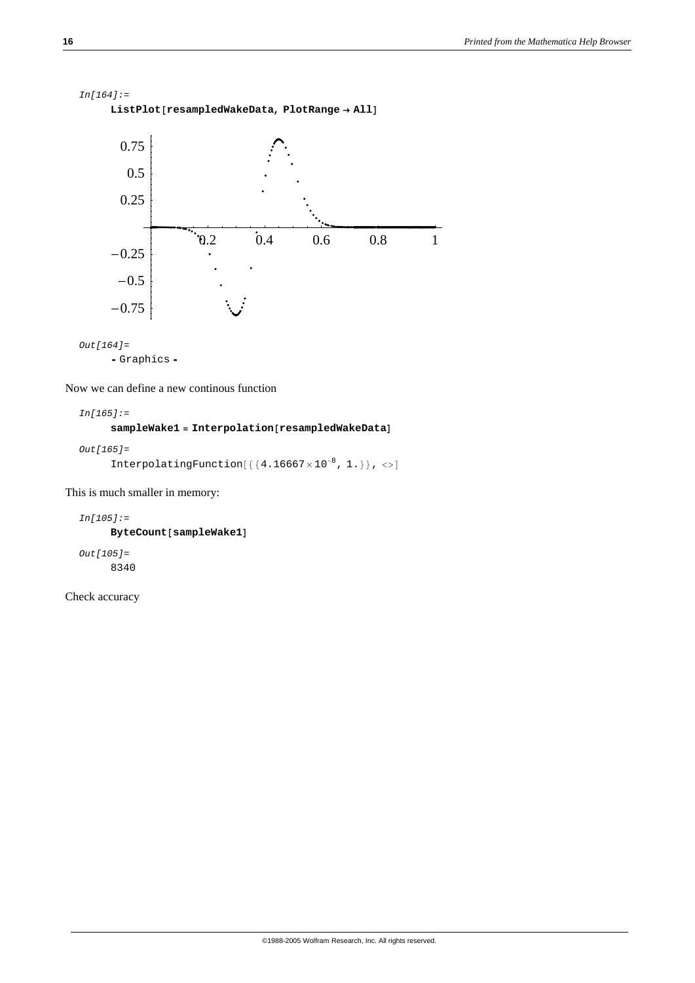```
In[164]:=
    ListPlot[resampledMakeData, PlotRange → All]0.2 0.4 0.6 0.8 1
    -0.75-0.5-0.250.25
      0.5
     0.75
```

```
Out[164]=
```

```
- Graphics -
```
Now we can define a new continous function

*In[165]:=*

 $sampleWake1 = Interpolation[resampledWakeData]$ 

```
Out[165]=
      InterpolatingFunction[{4.16667 \times 10^{-8}, 1.}], <>]
```
This is much smaller in memory:

```
In[105]:=
     ByteCount[sampleWake1]Out[105]=
     8340
```
Check accuracy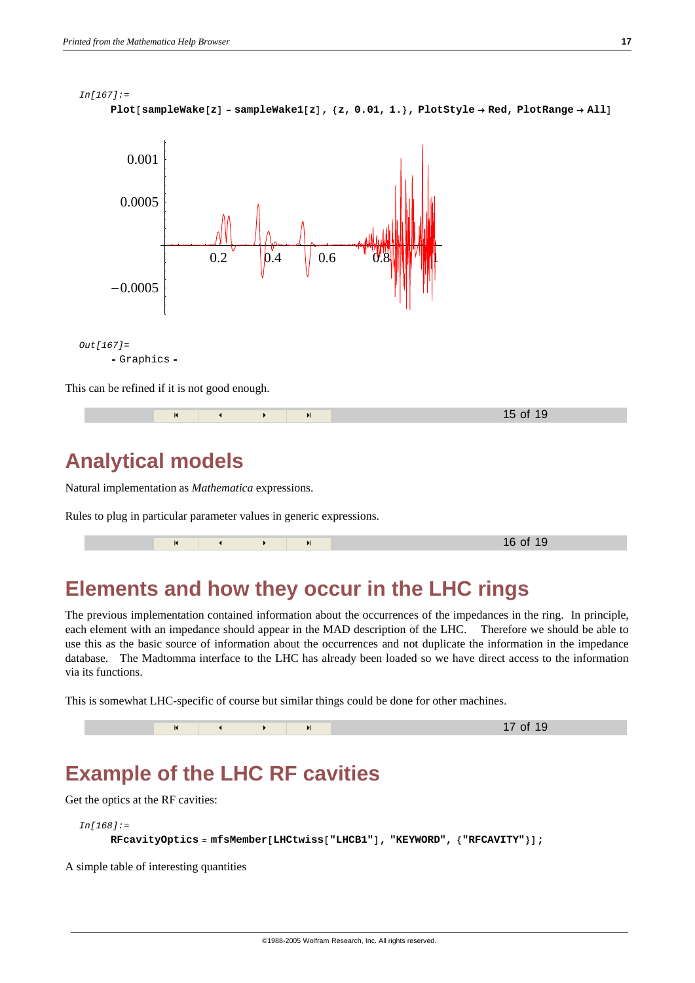



This can be refined if it is not good enough.

### **Analytical models**

Natural implementation as *Mathematica* expressions.

Rules to plug in particular parameter values in generic expressions.

|  |  | И |  |  |  | $6 \; \alpha$ f<br>יי |
|--|--|---|--|--|--|-----------------------|
|--|--|---|--|--|--|-----------------------|

### **Elements and how they occur in the LHC rings**

The previous implementation contained information about the occurrences of the impedances in the ring. In principle, each element with an impedance should appear in the MAD description of the LHC. Therefore we should be able to use this as the basic source of information about the occurrences and not duplicate the information in the impedance database. The Madtomma interface to the LHC has already been loaded so we have direct access to the information via its functions.

This is somewhat LHC-specific of course but similar things could be done for other machines.

|  |  | of |
|--|--|----|
|  |  |    |

### **Example of the LHC RF cavities**

Get the optics at the RF cavities:

```
In[168]:=
```
 $RFCavityOptics = mfsMember[LHCtwiss['LHCBI"]$ , "KEYWORD",  ${PRTCAVITY"}}$ 

A simple table of interesting quantities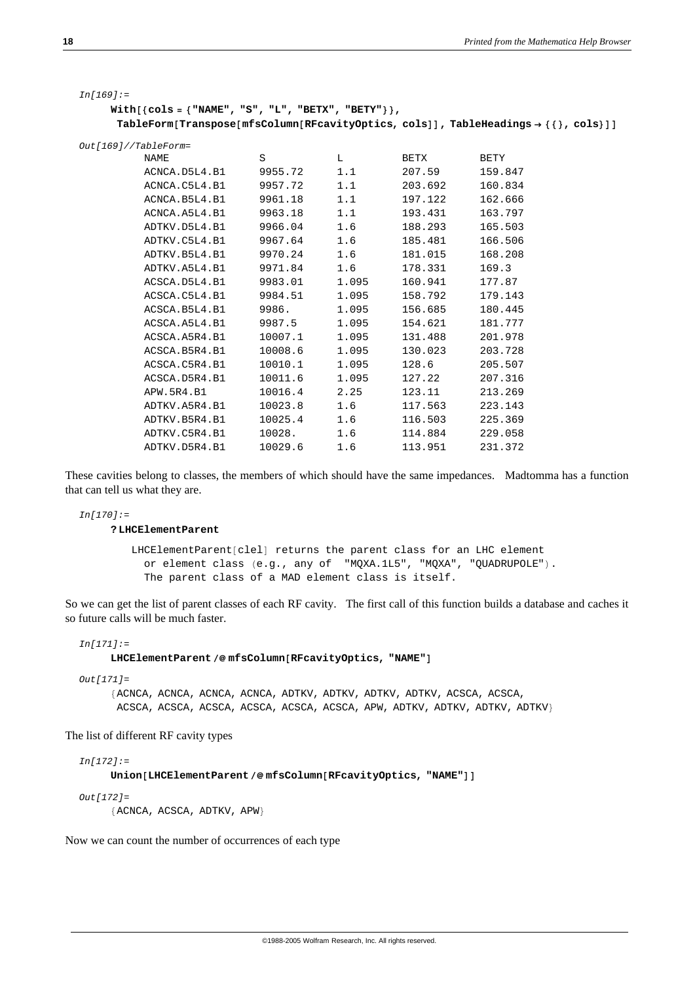| i<br>I<br>×<br>۰. |
|-------------------|
|                   |

| Ini 169 |  |
|---------|--|
|---------|--|

```
With@8cols = 8"NAME", "S", "L", "BETX", "BETY"<<,
 \text{TableForm}[\text{Transpose}[\text{mfSColum}[\text{RFcavityOptics}, \text{cols}]], \text{TableHeadings} \rightarrow \{\{\}, \text{cols}\}\]
```

| NAME          | S       | L     | <b>BETX</b> | <b>BETY</b> |
|---------------|---------|-------|-------------|-------------|
| ACNCA.D5L4.B1 | 9955.72 | 1.1   | 207.59      | 159.847     |
| ACNCA.C5L4.B1 | 9957.72 | 1.1   | 203.692     | 160.834     |
| ACNCA.B5L4.B1 | 9961.18 | 1.1   | 197.122     | 162.666     |
| ACNCA.A5L4.B1 | 9963.18 | 1.1   | 193.431     | 163.797     |
| ADTKV.D5L4.B1 | 9966.04 | 1.6   | 188.293     | 165.503     |
| ADTKV.C5L4.B1 | 9967.64 | 1.6   | 185.481     | 166.506     |
| ADTKV.B5L4.B1 | 9970.24 | 1.6   | 181.015     | 168.208     |
| ADTKV.A5L4.B1 | 9971.84 | 1.6   | 178.331     | 169.3       |
| ACSCA.D5L4.B1 | 9983.01 | 1.095 | 160.941     | 177.87      |
| ACSCA.C5L4.B1 | 9984.51 | 1.095 | 158.792     | 179.143     |
| ACSCA.B5L4.B1 | 9986.   | 1.095 | 156.685     | 180.445     |
| ACSCA.A5L4.B1 | 9987.5  | 1.095 | 154.621     | 181.777     |
| ACSCA.A5R4.B1 | 10007.1 | 1.095 | 131.488     | 201.978     |
| ACSCA.B5R4.B1 | 10008.6 | 1.095 | 130.023     | 203.728     |
| ACSCA.C5R4.B1 | 10010.1 | 1.095 | 128.6       | 205.507     |
| ACSCA.D5R4.B1 | 10011.6 | 1.095 | 127.22      | 207.316     |
| APW. 5R4. B1  | 10016.4 | 2.25  | 123.11      | 213.269     |
| ADTKV.A5R4.B1 | 10023.8 | 1.6   | 117.563     | 223.143     |
| ADTKV.B5R4.B1 | 10025.4 | 1.6   | 116.503     | 225.369     |
| ADTKV.C5R4.B1 | 10028.  | 1.6   | 114.884     | 229.058     |
| ADTKV.D5R4.B1 | 10029.6 | 1.6   | 113.951     | 231.372     |

These cavities belong to classes, the members of which should have the same impedances. Madtomma has a function that can tell us what they are.

*In[170]:=*

**? LHCElementParent**

```
LHCElementParent[clel] returns the parent class for an LHC element
  or element class (e.g., any of "MQXA.1L5", "MQXA", "QUADRUPOLE");The parent class of a MAD element class is itself.
```
So we can get the list of parent classes of each RF cavity. The first call of this function builds a database and caches it so future calls will be much faster.

*In[171]:=*

#### $LHCElementParent / @mfsColumn [RFCavity Optics, "NAME"]$

*Out[171]=*

8ACNCA, ACNCA, ACNCA, ACNCA, ADTKV, ADTKV, ADTKV, ADTKV, ACSCA, ACSCA, ACSCA, ACSCA, ACSCA, ACSCA, ACSCA, ACSCA, APW, ADTKV, ADTKV, ADTKV, ADTKV<

The list of different RF cavity types

*In[172]:=*

 $Uniform[LHCElementParent / @mfsColumn[RFCavityOptics, "NAME"]]$ 

*Out[172]=*  ${ACNCA, ACSCA, ADTKV, APW}$ 

Now we can count the number of occurrences of each type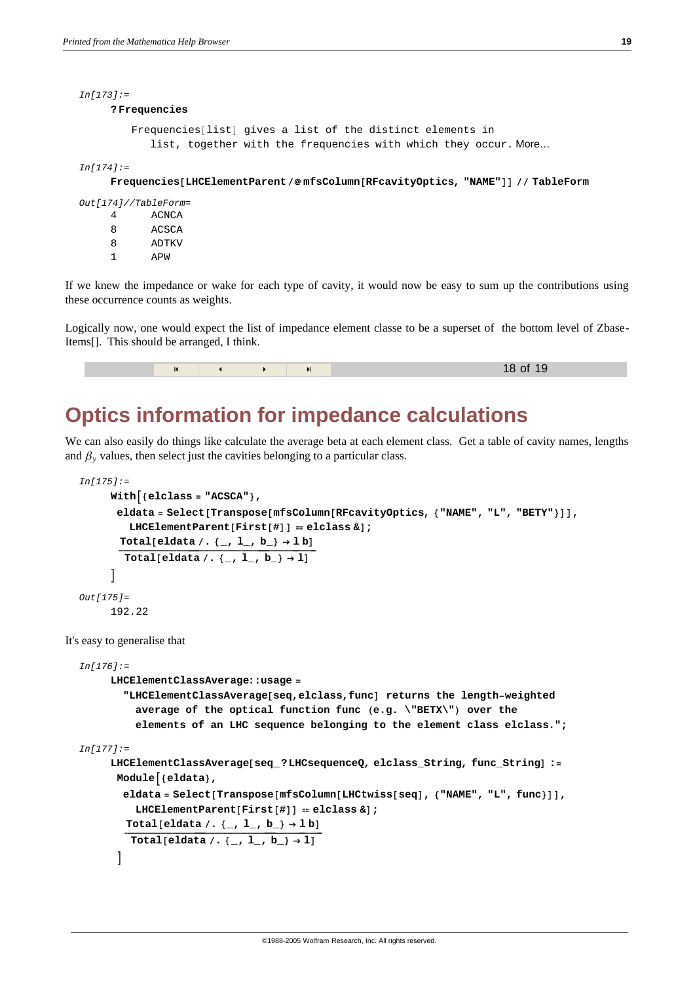8 ADTKV  $1 \quad \Delta \text{DW}$ 

```
In[173]:=
     ? Frequencies
        Frequencies[list] gives a list of the distinct elements in
           list, together with the frequencies with which they occur. More…
In[174]:=
    Frequencies@LHCElementParent ê@ mfsColumn@RFcavityOptics, "NAME"DD êê TableForm
Out[174]//TableForm=
     4 ACNCA
     8 ACSCA
```
If we knew the impedance or wake for each type of cavity, it would now be easy to sum up the contributions using these occurrence counts as weights.

Logically now, one would expect the list of impedance element classe to be a superset of the bottom level of Zbase-Items[]. This should be arranged, I think.

### **Optics information for impedance calculations**

We can also easily do things like calculate the average beta at each element class. Get a table of cavity names, lengths and  $\beta$ <sub>*y*</sub> values, then select just the cavities belonging to a particular class.

```
In[175]:=
          With {\nvert}{e1c1ass = "ACSCA"},
            \text{e1data} = \text{Select}[\text{Transpose}[\text{mfsColumn}[\text{REcavity}]\text{ptics}, {\text{FNAME}}, {\text{FL}}, {\text{FBERT}})]LHCElementParent<sup>[First[#]] == elclass & ];<br>Total[eldata /. {_, 1_, b_} \rightarrow 1 b]</sup>
              Total[eldata /. \left[\right], l, b} + 1]
           E
   Out[175]=
          192.22
It's easy to generalise that
   In[176]:=
          LHCElementClassAverage::usage =
             "LHCElementClassAverage@seq,elclass,funcD returns the length−weighted
                average of the optical function func (e.g. \"BETX\") over the
                elements of an LHC sequence belonging to the element class elclass.";
   In[177]:=
          LHCElementClassAverage[seq_?LHCsequenceQ, elclass_String, func_String] :=
            Module\left[ \text{ } \{ \text{eldata} \} \right)\blacksquareeldata = \text{Select}[\text{Transpose}[\text{mfsColumn}[\text{LHCtwiss}[\text{seq}], \lacksquare
WAME", \blacksquare, \text{func}}\rightharpoonupLHCElementParent[First[#] = elclass &] ;<br>Total[eldata /. {_, 1_, b_} \rightarrow 1 b]
               Total[eldata /. \{-, 1, b_+\} + 1]
            E
```
18 of 19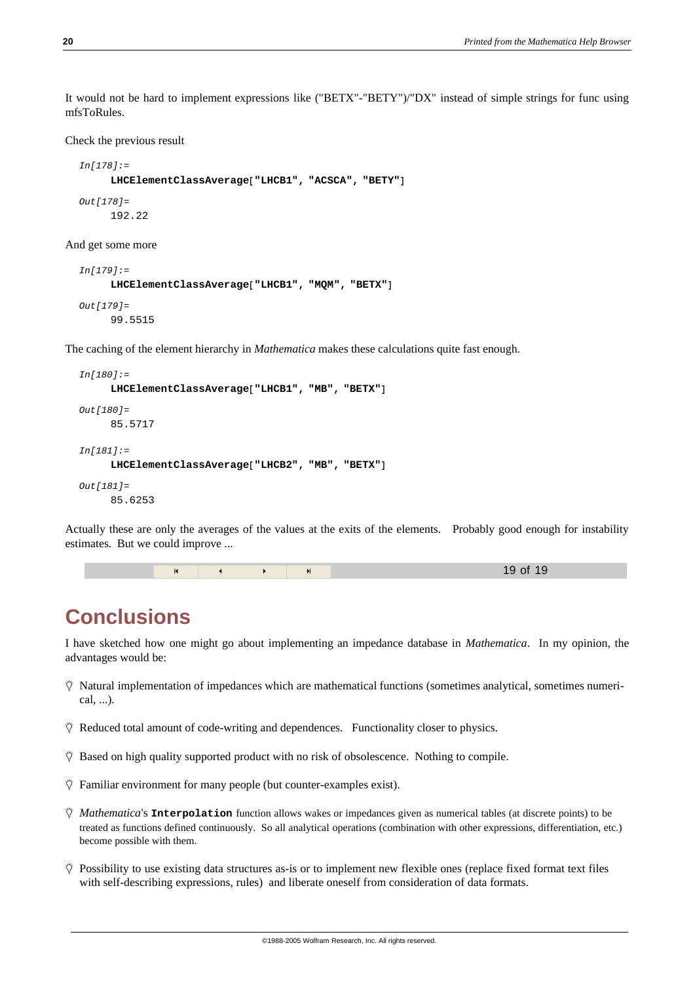It would not be hard to implement expressions like ("BETX"-"BETY")/"DX" instead of simple strings for func using mfsToRules.

Check the previous result

```
In[178]:=
     LHCElementClassAverage<sup>["LHCB1", "ACSCA", "BETY"]</sup>
Out[178]=
      192.22
```
And get some more

```
In[179]:=
      LHCElementClassAverage<sup>["LHCB1", "MQM", "BETX"]</sup>
Out[179]=
      99.5515
```
The caching of the element hierarchy in *Mathematica* makes these calculations quite fast enough.

```
In[180]:=
      LHCElementClassAverage<sup>["LHCB1", "MB", "BETX"]</sup>
Out[180]=
      85.5717
In[181]:=
      LHCElementClassAverage<sup>["LHCB2", "MB", "BETX"]</sup>
Out[181]=
      85.6253
```
Actually these are only the averages of the values at the exits of the elements. Probably good enough for instability estimates. But we could improve ...

|  |  | 19 of 19 |
|--|--|----------|
|--|--|----------|

#### **Conclusions**

I have sketched how one might go about implementing an impedance database in *Mathematica*. In my opinion, the advantages would be:

- $\ddot{\heartsuit}$  Natural implementation of impedances which are mathematical functions (sometimes analytical, sometimes numerical, ...).
- $\ddot{\heartsuit}$  Reduced total amount of code-writing and dependences. Functionality closer to physics.
- $\ddot{\heartsuit}$  Based on high quality supported product with no risk of obsolescence. Nothing to compile.
- $\Diamond$  Familiar environment for many people (but counter-examples exist).
- $\ddot{\heartsuit}$  *Mathematica*'s **Interpolation** function allows wakes or impedances given as numerical tables (at discrete points) to be treated as functions defined continuously. So all analytical operations (combination with other expressions, differentiation, etc.) become possible with them.
- $\hat{V}$  Possibility to use existing data structures as-is or to implement new flexible ones (replace fixed format text files with self-describing expressions, rules) and liberate oneself from consideration of data formats.